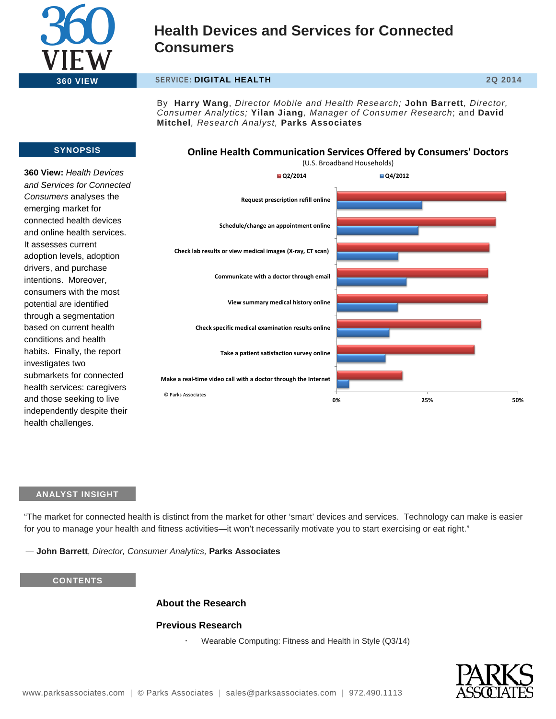

### **360 VIEW SERVICE: DIGITAL HEALTH 2Q 2014**

By **Harry Wang**, *Director Mobile and Health Research;* **John Barrett***, Director, Consumer Analytics;* **Yilan Jiang***, Manager of Consumer Research*; and **David Mitchel***, Research Analyst,* **Parks Associates**

### **Online Health Communication Services Offered by Consumers' Doctors**

### **360 View:** *Health Devices and Services for Connected Consumers* analyses the emerging market for connected health devices and online health services.

**SYNOPSIS**

It assesses current adoption levels, adoption drivers, and purchase intentions. Moreover, consumers with the most potential are identified through a segmentation based on current health conditions and health habits. Finally, the report investigates two submarkets for connected health services: caregivers and those seeking to live independently despite their health challenges.



### **ANALYST INSIGHT**

"The market for connected health is distinct from the market for other 'smart' devices and services. Technology can make is easier for you to manage your health and fitness activities—it won't necessarily motivate you to start exercising or eat right."

― **John Barrett**, *Director, Consumer Analytics,* **Parks Associates**

### **CONTENTS**

### **About the Research**

#### **Previous Research**

Wearable Computing: Fitness and Health in Style (Q3/14)

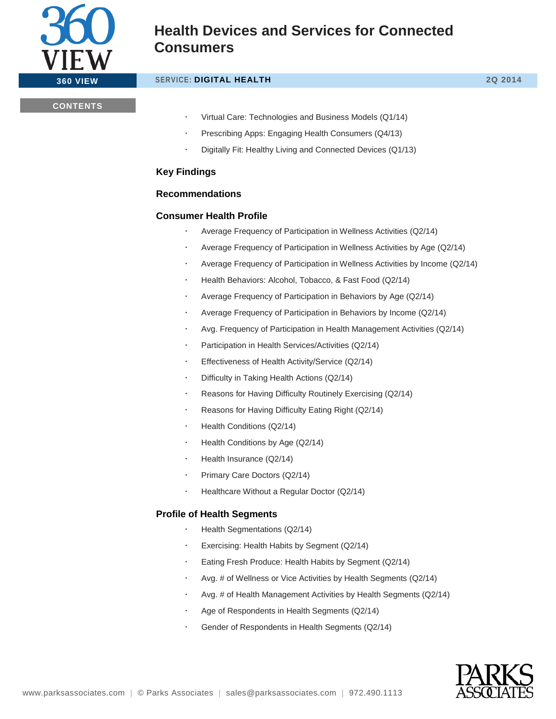

### **360 VIEW SERVICE: DIGITAL HEALTH 2Q 2014**

### **CONTENTS**

- Virtual Care: Technologies and Business Models (Q1/14)
- Prescribing Apps: Engaging Health Consumers (Q4/13)
- Digitally Fit: Healthy Living and Connected Devices (Q1/13)

### **Key Findings**

### **Recommendations**

### **Consumer Health Profile**

- Average Frequency of Participation in Wellness Activities (Q2/14)
- Average Frequency of Participation in Wellness Activities by Age (Q2/14)
- Average Frequency of Participation in Wellness Activities by Income (Q2/14)
- Health Behaviors: Alcohol, Tobacco, & Fast Food (Q2/14)
- Average Frequency of Participation in Behaviors by Age (Q2/14)
- Average Frequency of Participation in Behaviors by Income (Q2/14)
- Avg. Frequency of Participation in Health Management Activities (Q2/14)
- Participation in Health Services/Activities (Q2/14)
- Effectiveness of Health Activity/Service (Q2/14)
- Difficulty in Taking Health Actions (Q2/14)
- Reasons for Having Difficulty Routinely Exercising (Q2/14)
- Reasons for Having Difficulty Eating Right (Q2/14)
- Health Conditions (Q2/14)
- Health Conditions by Age (Q2/14)
- Health Insurance (Q2/14)
- Primary Care Doctors (Q2/14)
- Healthcare Without a Regular Doctor (Q2/14)

### **Profile of Health Segments**

- Health Segmentations (Q2/14)
- Exercising: Health Habits by Segment (Q2/14)
- Eating Fresh Produce: Health Habits by Segment (Q2/14)
- Avg. # of Wellness or Vice Activities by Health Segments (Q2/14)
- Avg. # of Health Management Activities by Health Segments (Q2/14)
- Age of Respondents in Health Segments (Q2/14)
- Gender of Respondents in Health Segments (Q2/14)

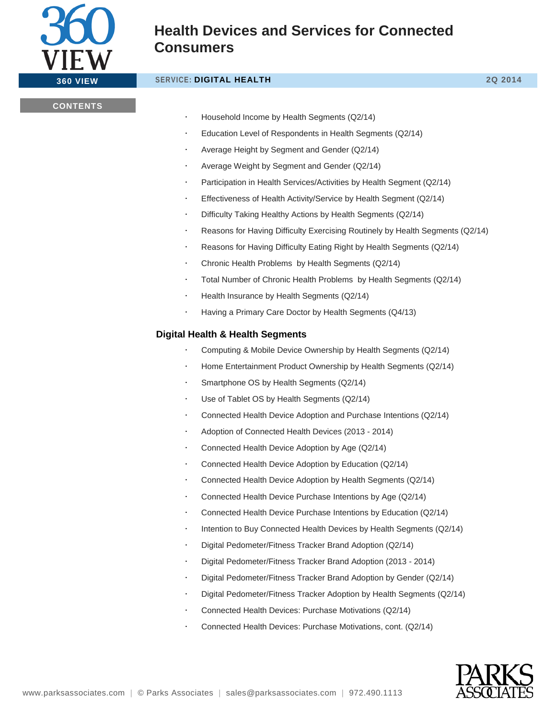

#### **360 VIEW SERVICE: DIGITAL HEALTH 2Q 2014**

#### **CONTENTS**

- Household Income by Health Segments (Q2/14)
- Education Level of Respondents in Health Segments (Q2/14)
- Average Height by Segment and Gender (Q2/14)
- Average Weight by Segment and Gender (Q2/14)
- Participation in Health Services/Activities by Health Segment (Q2/14)
- Effectiveness of Health Activity/Service by Health Segment (Q2/14)
- Difficulty Taking Healthy Actions by Health Segments (Q2/14)
- Reasons for Having Difficulty Exercising Routinely by Health Segments (Q2/14)
- Reasons for Having Difficulty Eating Right by Health Segments (Q2/14)
- Chronic Health Problems by Health Segments (Q2/14)
- Total Number of Chronic Health Problems by Health Segments (Q2/14)
- Health Insurance by Health Segments (Q2/14)
- Having a Primary Care Doctor by Health Segments (Q4/13)

### **Digital Health & Health Segments**

- Computing & Mobile Device Ownership by Health Segments (Q2/14)
- Home Entertainment Product Ownership by Health Segments (Q2/14)
- Smartphone OS by Health Segments (Q2/14)
- Use of Tablet OS by Health Segments (Q2/14)
- Connected Health Device Adoption and Purchase Intentions (Q2/14)
- Adoption of Connected Health Devices (2013 2014)
- Connected Health Device Adoption by Age (Q2/14)
- Connected Health Device Adoption by Education (Q2/14)
- Connected Health Device Adoption by Health Segments (Q2/14)
- Connected Health Device Purchase Intentions by Age (Q2/14)
- Connected Health Device Purchase Intentions by Education (Q2/14)
- Intention to Buy Connected Health Devices by Health Segments (Q2/14)
- Digital Pedometer/Fitness Tracker Brand Adoption (Q2/14)
- Digital Pedometer/Fitness Tracker Brand Adoption (2013 2014)
- Digital Pedometer/Fitness Tracker Brand Adoption by Gender (Q2/14)
- Digital Pedometer/Fitness Tracker Adoption by Health Segments (Q2/14)
- Connected Health Devices: Purchase Motivations (Q2/14)
- Connected Health Devices: Purchase Motivations, cont. (Q2/14)

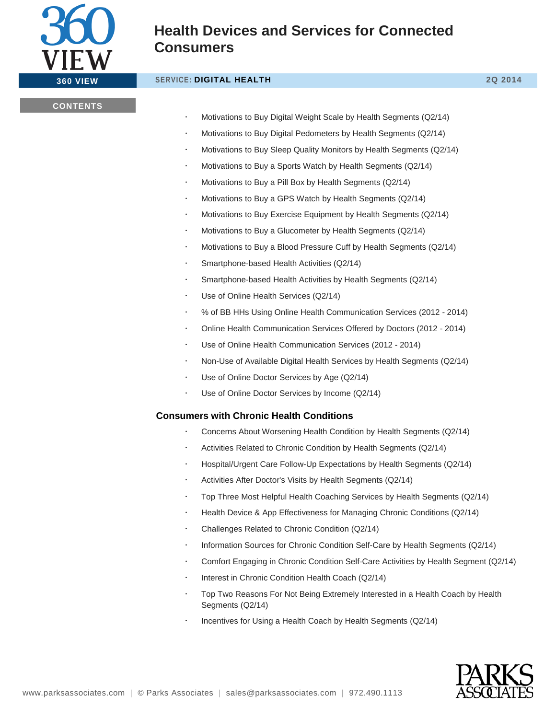

### **360 VIEW SERVICE: DIGITAL HEALTH 2Q 2014**

### **CONTENTS**

- Motivations to Buy Digital Weight Scale by Health Segments (Q2/14)
- Motivations to Buy Digital Pedometers by Health Segments (Q2/14)
- Motivations to Buy Sleep Quality Monitors by Health Segments (Q2/14)
- Motivations to Buy a Sports Watch by Health Segments (Q2/14)
- Motivations to Buy a Pill Box by Health Segments (Q2/14)
- Motivations to Buy a GPS Watch by Health Segments (Q2/14)
- Motivations to Buy Exercise Equipment by Health Segments (Q2/14)
- Motivations to Buy a Glucometer by Health Segments (Q2/14)
- Motivations to Buy a Blood Pressure Cuff by Health Segments (Q2/14)
- Smartphone-based Health Activities (Q2/14)
- Smartphone-based Health Activities by Health Segments (Q2/14)
- Use of Online Health Services (Q2/14)
- % of BB HHs Using Online Health Communication Services (2012 2014)
- Online Health Communication Services Offered by Doctors (2012 2014)
- Use of Online Health Communication Services (2012 2014)
- Non-Use of Available Digital Health Services by Health Segments (Q2/14)
- Use of Online Doctor Services by Age (Q2/14)
- Use of Online Doctor Services by Income (Q2/14)

### **Consumers with Chronic Health Conditions**

- Concerns About Worsening Health Condition by Health Segments (Q2/14)
- Activities Related to Chronic Condition by Health Segments (Q2/14)
- Hospital/Urgent Care Follow-Up Expectations by Health Segments (Q2/14)
- Activities After Doctor's Visits by Health Segments (Q2/14)
- Top Three Most Helpful Health Coaching Services by Health Segments (Q2/14)
- Health Device & App Effectiveness for Managing Chronic Conditions (Q2/14)
- Challenges Related to Chronic Condition (Q2/14)
- Information Sources for Chronic Condition Self-Care by Health Segments (Q2/14)
- Comfort Engaging in Chronic Condition Self-Care Activities by Health Segment (Q2/14)
- Interest in Chronic Condition Health Coach (Q2/14)
- Top Two Reasons For Not Being Extremely Interested in a Health Coach by Health Segments (Q2/14)
- Incentives for Using a Health Coach by Health Segments (Q2/14)

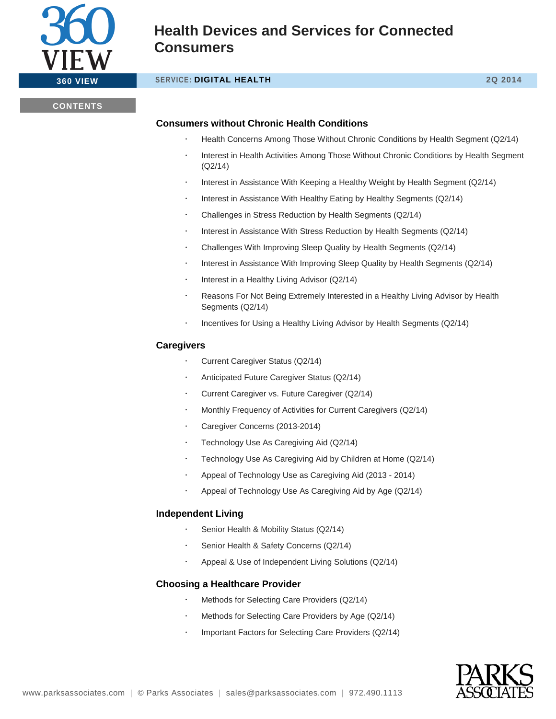

### **360 VIEW SERVICE: DIGITAL HEALTH 2Q 2014**

### **CONTENTS**

### **Consumers without Chronic Health Conditions**

- Health Concerns Among Those Without Chronic Conditions by Health Segment (Q2/14)
- Interest in Health Activities Among Those Without Chronic Conditions by Health Segment (Q2/14)
- Interest in Assistance With Keeping a Healthy Weight by Health Segment (Q2/14)
- Interest in Assistance With Healthy Eating by Healthy Segments (Q2/14)
- Challenges in Stress Reduction by Health Segments (Q2/14)
- Interest in Assistance With Stress Reduction by Health Segments (Q2/14)
- Challenges With Improving Sleep Quality by Health Segments (Q2/14)
- Interest in Assistance With Improving Sleep Quality by Health Segments (Q2/14)
- Interest in a Healthy Living Advisor (Q2/14)
- Reasons For Not Being Extremely Interested in a Healthy Living Advisor by Health Segments (Q2/14)
- Incentives for Using a Healthy Living Advisor by Health Segments (Q2/14)

### **Caregivers**

- Current Caregiver Status (Q2/14)
- Anticipated Future Caregiver Status (Q2/14)
- Current Caregiver vs. Future Caregiver (Q2/14)
- Monthly Frequency of Activities for Current Caregivers (Q2/14)
- Caregiver Concerns (2013-2014)
- Technology Use As Caregiving Aid (Q2/14)
- Technology Use As Caregiving Aid by Children at Home (Q2/14)
- Appeal of Technology Use as Caregiving Aid (2013 2014)
- Appeal of Technology Use As Caregiving Aid by Age (Q2/14)

### **Independent Living**

- Senior Health & Mobility Status (Q2/14)
- Senior Health & Safety Concerns (Q2/14)
- Appeal & Use of Independent Living Solutions (Q2/14)

### **Choosing a Healthcare Provider**

- Methods for Selecting Care Providers (Q2/14)
- Methods for Selecting Care Providers by Age (Q2/14)
- Important Factors for Selecting Care Providers (Q2/14)